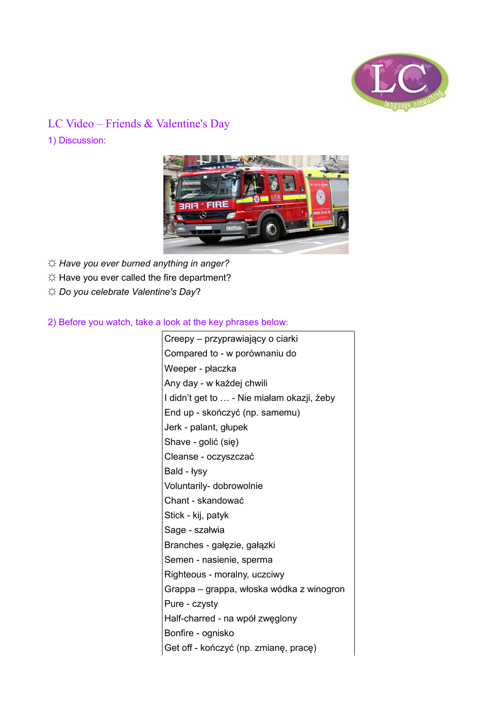

## LC Video – Friends & Valentine's Day

1) Discussion:



*☼ Have you ever burned anything in anger?* 

- *☼* Have you ever called the fire department?
- *☼ Do you celebrate Valentine's Day*?

2) Before you watch, take a look at the key phrases below:

Creepy – przyprawiający o ciarki Compared to - w porównaniu do Weeper - płaczka Any day - w każdej chwili I didn't get to … - Nie miałam okazji, żeby End up - skończyć (np. samemu) Jerk - palant, głupek Shave - golić (się) Cleanse - oczyszczać Bald - łysy Voluntarily- dobrowolnie Chant - skandować Stick - kij, patyk Sage - szałwia Branches - gałęzie, gałązki Semen - nasienie, sperma Righteous - moralny, uczciwy Grappa – grappa, włoska wódka z winogron Pure - czysty Half-charred - na wpół zwęglony Bonfire - ognisko Get off - kończyć (np. zmianę, pracę)